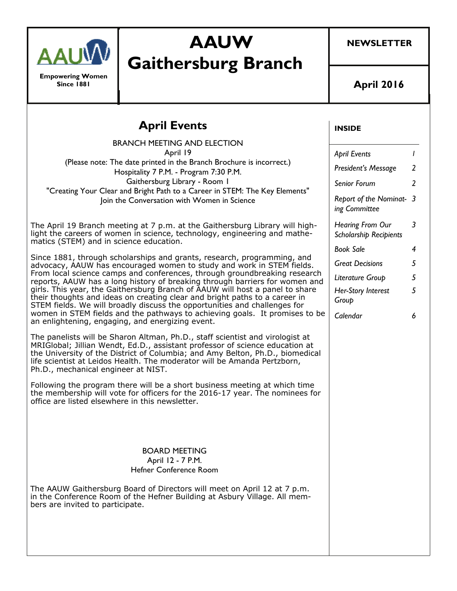

**Empowering Women Since 1881** 

**Gaithersburg Branch** 

**AAUW** 

**NEWSLETTER** 

**April 2016** 

**INSIDE** 

## **April Events**

| <b>BRANCH MEETING AND ELECTION</b>                                                                                                                                                                                                                                                                                                                                                                                                                                                                                                                                                                                                                                                         |                                                   |                |
|--------------------------------------------------------------------------------------------------------------------------------------------------------------------------------------------------------------------------------------------------------------------------------------------------------------------------------------------------------------------------------------------------------------------------------------------------------------------------------------------------------------------------------------------------------------------------------------------------------------------------------------------------------------------------------------------|---------------------------------------------------|----------------|
| April 19                                                                                                                                                                                                                                                                                                                                                                                                                                                                                                                                                                                                                                                                                   | <b>April Events</b>                               | $\mathcal{L}$  |
| (Please note: The date printed in the Branch Brochure is incorrect.)<br>Hospitality 7 P.M. - Program 7:30 P.M.                                                                                                                                                                                                                                                                                                                                                                                                                                                                                                                                                                             | President's Message                               | $\overline{2}$ |
| Gaithersburg Library - Room I<br>"Creating Your Clear and Bright Path to a Career in STEM: The Key Elements"<br>Join the Conversation with Women in Science                                                                                                                                                                                                                                                                                                                                                                                                                                                                                                                                | Senior Forum                                      | $\overline{2}$ |
|                                                                                                                                                                                                                                                                                                                                                                                                                                                                                                                                                                                                                                                                                            | Report of the Nominat- 3<br>ing Committee         |                |
| The April 19 Branch meeting at 7 p.m. at the Gaithersburg Library will high-<br>light the careers of women in science, technology, engineering and mathe-<br>matics (STEM) and in science education.                                                                                                                                                                                                                                                                                                                                                                                                                                                                                       | Hearing From Our<br><b>Scholarship Recipients</b> | $\mathfrak{Z}$ |
|                                                                                                                                                                                                                                                                                                                                                                                                                                                                                                                                                                                                                                                                                            | <b>Book Sale</b>                                  | 4              |
| Since 1881, through scholarships and grants, research, programming, and<br>advocacy, AAUW has encouraged women to study and work in STEM fields.<br>From local science camps and conferences, through groundbreaking research<br>reports, AAUW has a long history of breaking through barriers for women and<br>girls. This year, the Gaithersburg Branch of AAUW will host a panel to share<br>their thoughts and ideas on creating clear and bright paths to a career in<br>STEM fields. We will broadly discuss the opportunities and challenges for<br>women in STEM fields and the pathways to achieving goals. It promises to be<br>an enlightening, engaging, and energizing event. | <b>Great Decisions</b>                            | 5              |
|                                                                                                                                                                                                                                                                                                                                                                                                                                                                                                                                                                                                                                                                                            | Literature Group                                  | 5              |
|                                                                                                                                                                                                                                                                                                                                                                                                                                                                                                                                                                                                                                                                                            | Her-Story Interest<br>Group                       | 5              |
|                                                                                                                                                                                                                                                                                                                                                                                                                                                                                                                                                                                                                                                                                            | Calendar                                          | 6              |
| The panelists will be Sharon Altman, Ph.D., staff scientist and virologist at<br>MRIGlobal; Jillian Wendt, Ed.D., assistant professor of science education at<br>the University of the District of Columbia; and Amy Belton, Ph.D., biomedical<br>life scientist at Leidos Health. The moderator will be Amanda Pertzborn,<br>Ph.D., mechanical engineer at NIST.                                                                                                                                                                                                                                                                                                                          |                                                   |                |
| Following the program there will be a short business meeting at which time<br>the membership will vote for officers for the 2016-17 year. The nominees for<br>office are listed elsewhere in this newsletter.                                                                                                                                                                                                                                                                                                                                                                                                                                                                              |                                                   |                |
| <b>BOARD MEETING</b>                                                                                                                                                                                                                                                                                                                                                                                                                                                                                                                                                                                                                                                                       |                                                   |                |
| April 12 - 7 P.M.                                                                                                                                                                                                                                                                                                                                                                                                                                                                                                                                                                                                                                                                          |                                                   |                |
| Hefner Conference Room                                                                                                                                                                                                                                                                                                                                                                                                                                                                                                                                                                                                                                                                     |                                                   |                |
| The AAUW Gaithersburg Board of Directors will meet on April 12 at 7 p.m.<br>in the Conference Room of the Hefner Building at Asbury Village. All mem-<br>bers are invited to participate.                                                                                                                                                                                                                                                                                                                                                                                                                                                                                                  |                                                   |                |
|                                                                                                                                                                                                                                                                                                                                                                                                                                                                                                                                                                                                                                                                                            |                                                   |                |
|                                                                                                                                                                                                                                                                                                                                                                                                                                                                                                                                                                                                                                                                                            |                                                   |                |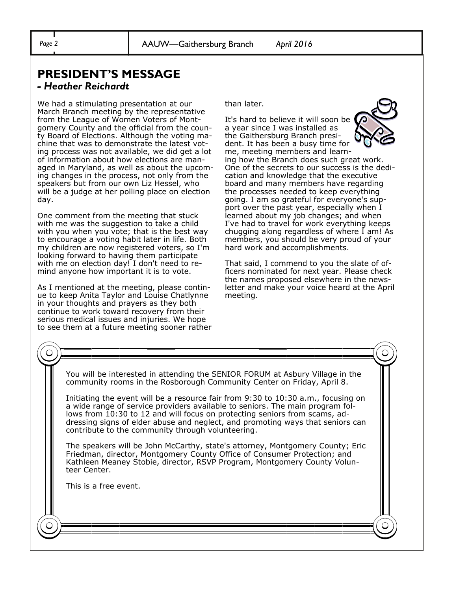# **PRESIDENT'S MESSAGE**

#### *- Heather Reichardt*

We had a stimulating presentation at our March Branch meeting by the representative from the League of Women Voters of Montgomery County and the official from the county Board of Elections. Although the voting machine that was to demonstrate the latest voting process was not available, we did get a lot of information about how elections are managed in Maryland, as well as about the upcoming changes in the process, not only from the speakers but from our own Liz Hessel, who will be a judge at her polling place on election day.

One comment from the meeting that stuck with me was the suggestion to take a child with you when you vote; that is the best way to encourage a voting habit later in life. Both my children are now registered voters, so I'm looking forward to having them participate with me on election day! I don't need to remind anyone how important it is to vote.

As I mentioned at the meeting, please continue to keep Anita Taylor and Louise Chatlynne in your thoughts and prayers as they both continue to work toward recovery from their serious medical issues and injuries. We hope to see them at a future meeting sooner rather than later.

It's hard to believe it will soon be a year since I was installed as the Gaithersburg Branch president. It has been a busy time for me, meeting members and learning how the Branch does such great work. One of the secrets to our success is the dedication and knowledge that the executive board and many members have regarding the processes needed to keep everything going. I am so grateful for everyone's support over the past year, especially when I learned about my job changes; and when I've had to travel for work everything keeps chugging along regardless of where I am! As members, you should be very proud of your hard work and accomplishments.

That said, I commend to you the slate of officers nominated for next year. Please check the names proposed elsewhere in the newsletter and make your voice heard at the April meeting.

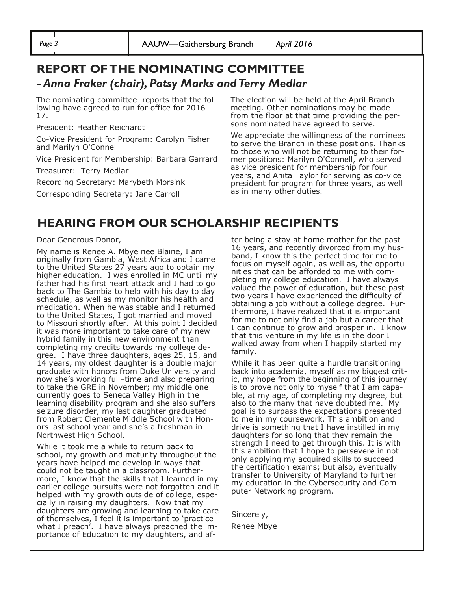### **REPORT OF THE NOMINATING COMMITTEE**  *- Anna Fraker (chair), Patsy Marks and Terry Medlar*

The nominating committee reports that the following have agreed to run for office for 2016- 17.

President: Heather Reichardt

Co-Vice President for Program: Carolyn Fisher and Marilyn O'Connell

Vice President for Membership: Barbara Garrard

Treasurer: Terry Medlar

Recording Secretary: Marybeth Morsink

Corresponding Secretary: Jane Carroll

The election will be held at the April Branch meeting. Other nominations may be made from the floor at that time providing the persons nominated have agreed to serve.

We appreciate the willingness of the nominees to serve the Branch in these positions. Thanks to those who will not be returning to their former positions: Marilyn O'Connell, who served as vice president for membership for four years, and Anita Taylor for serving as co-vice president for program for three years, as well as in many other duties.

#### **HEARING FROM OUR SCHOLARSHIP RECIPIENTS**

#### Dear Generous Donor,

My name is Renee A. Mbye nee Blaine, I am originally from Gambia, West Africa and I came to the United States 27 years ago to obtain my higher education. I was enrolled in MC until my father had his first heart attack and I had to go back to The Gambia to help with his day to day schedule, as well as my monitor his health and medication. When he was stable and I returned to the United States, I got married and moved to Missouri shortly after. At this point I decided it was more important to take care of my new hybrid family in this new environment than completing my credits towards my college degree. I have three daughters, ages 25, 15, and 14 years, my oldest daughter is a double major graduate with honors from Duke University and now she's working full–time and also preparing to take the GRE in November; my middle one currently goes to Seneca Valley High in the learning disability program and she also suffers seizure disorder, my last daughter graduated from Robert Clemente Middle School with Honors last school year and she's a freshman in Northwest High School.

While it took me a while to return back to school, my growth and maturity throughout the years have helped me develop in ways that could not be taught in a classroom. Furthermore, I know that the skills that I learned in my earlier college pursuits were not forgotten and it helped with my growth outside of college, especially in raising my daughters. Now that my daughters are growing and learning to take care of themselves, I feel it is important to 'practice what I preach'. I have always preached the importance of Education to my daughters, and after being a stay at home mother for the past 16 years, and recently divorced from my husband, I know this the perfect time for me to focus on myself again, as well as, the opportunities that can be afforded to me with completing my college education. I have always valued the power of education, but these past two years I have experienced the difficulty of obtaining a job without a college degree. Furthermore, I have realized that it is important for me to not only find a job but a career that I can continue to grow and prosper in. I know that this venture in my life is in the door I walked away from when I happily started my family.

While it has been quite a hurdle transitioning back into academia, myself as my biggest critic, my hope from the beginning of this journey is to prove not only to myself that I am capable, at my age, of completing my degree, but also to the many that have doubted me. My goal is to surpass the expectations presented to me in my coursework. This ambition and drive is something that I have instilled in my daughters for so long that they remain the strength I need to get through this. It is with this ambition that I hope to persevere in not only applying my acquired skills to succeed the certification exams; but also, eventually transfer to University of Maryland to further my education in the Cybersecurity and Computer Networking program.

Sincerely, Renee Mbye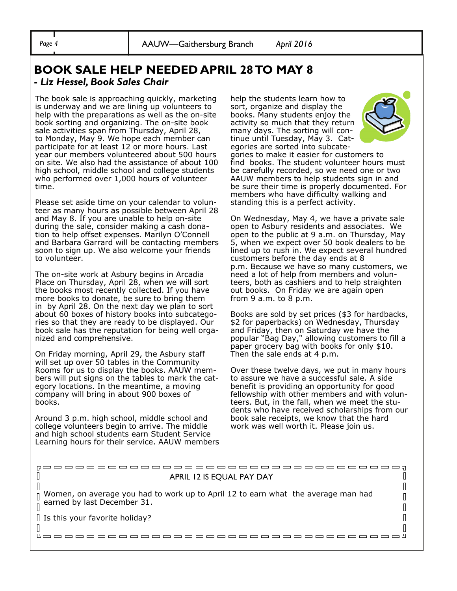*Page 4* AAUW—Gaithersburg Branch *April 2016* 

#### **BOOK SALE HELP NEEDED APRIL 28 TO MAY 8 -** *Liz Hessel, Book Sales Chair*

The book sale is approaching quickly, marketing is underway and we are lining up volunteers to help with the preparations as well as the on-site book sorting and organizing. The on-site book sale activities span from Thursday, April 28, to Monday, May 9. We hope each member can participate for at least 12 or more hours. Last year our members volunteered about 500 hours on site. We also had the assistance of about 100 high school, middle school and college students who performed over 1,000 hours of volunteer time.

Please set aside time on your calendar to volunteer as many hours as possible between April 28 and May 8. If you are unable to help on-site during the sale, consider making a cash donation to help offset expenses. Marilyn O'Connell and Barbara Garrard will be contacting members soon to sign up. We also welcome your friends to volunteer.

The on-site work at Asbury begins in Arcadia Place on Thursday, April 28, when we will sort the books most recently collected. If you have more books to donate, be sure to bring them in by April 28. On the next day we plan to sort about 60 boxes of history books into subcategories so that they are ready to be displayed. Our book sale has the reputation for being well organized and comprehensive.

On Friday morning, April 29, the Asbury staff will set up over 50 tables in the Community Rooms for us to display the books. AAUW members will put signs on the tables to mark the category locations. In the meantime, a moving company will bring in about 900 boxes of books.

Around 3 p.m. high school, middle school and college volunteers begin to arrive. The middle and high school students earn Student Service Learning hours for their service. AAUW members help the students learn how to sort, organize and display the books. Many students enjoy the activity so much that they return many days. The sorting will continue until Tuesday, May 3. Cat-



egories are sorted into subcategories to make it easier for customers to find books. The student volunteer hours must be carefully recorded, so we need one or two AAUW members to help students sign in and be sure their time is properly documented. For members who have difficulty walking and standing this is a perfect activity.

On Wednesday, May 4, we have a private sale open to Asbury residents and associates. We open to the public at 9 a.m. on Thursday, May 5, when we expect over 50 book dealers to be lined up to rush in. We expect several hundred customers before the day ends at 8 p.m. Because we have so many customers, we need a lot of help from members and volunteers, both as cashiers and to help straighten out books. On Friday we are again open from 9 a.m. to 8 p.m.

Books are sold by set prices (\$3 for hardbacks, \$2 for paperbacks) on Wednesday, Thursday and Friday, then on Saturday we have the popular "Bag Day," allowing customers to fill a paper grocery bag with books for only \$10. Then the sale ends at 4 p.m.

Over these twelve days, we put in many hours to assure we have a successful sale. A side benefit is providing an opportunity for good fellowship with other members and with volunteers. But, in the fall, when we meet the students who have received scholarships from our book sale receipts, we know that the hard work was well worth it. Please join us.

#### $\begin{matrix} \end{matrix}$  $\sqrt{2}$ APRIL 12 IS EQUAL PAY DAY  $\mathbb{I}$ Ш Women, on average you had to work up to April 12 to earn what the average man had  $\begin{bmatrix} 1 \\ 2 \end{bmatrix}$ Π earned by last December 31.  $\Box$  $\sqrt{ }$  $\mathbb{I}$  $\parallel$  Is this your favorite holiday?  $\overline{\mathbb{R}}$ <u>booooooooooooooooooooooooooooooo</u>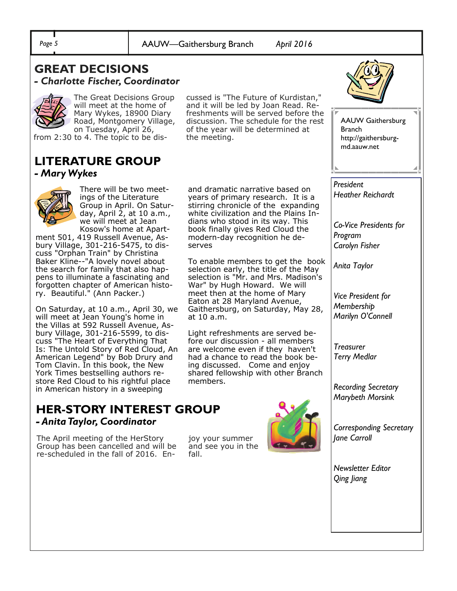*Page 5* AAUW—Gaithersburg Branch *April 2016* 

the meeting.

serves

at 10 a.m.

members.

and dramatic narrative based on years of primary research. It is a stirring chronicle of the expanding white civilization and the Plains Indians who stood in its way. This book finally gives Red Cloud the modern-day recognition he de-

cussed is "The Future of Kurdistan," and it will be led by Joan Read. Refreshments will be served before the discussion. The schedule for the rest of the year will be determined at

To enable members to get the book selection early, the title of the May selection is "Mr. and Mrs. Madison's War" by Hugh Howard. We will meet then at the home of Mary Eaton at 28 Maryland Avenue, Gaithersburg, on Saturday, May 28,

Light refreshments are served before our discussion - all members are welcome even if they haven't had a chance to read the book being discussed. Come and enjoy shared fellowship with other Branch

#### **GREAT DECISIONS**  *- Charlotte Fischer, Coordinator*



The Great Decisions Group will meet at the home of Mary Wykes, 18900 Diary Road, Montgomery Village, on Tuesday, April 26,

from 2:30 to 4. The topic to be dis-

#### **LITERATURE GROUP**  *- Mary Wykes*



There will be two meetings of the Literature Group in April. On Saturday, April  $2$ , at 10 a.m., we will meet at Jean Kosow's home at Apart-

ment 501, 419 Russell Avenue, Asbury Village, 301-216-5475, to discuss "Orphan Train" by Christina Baker Kline--"A lovely novel about the search for family that also happens to illuminate a fascinating and forgotten chapter of American history. Beautiful." (Ann Packer.)

On Saturday, at 10 a.m., April 30, we will meet at Jean Young's home in the Villas at 592 Russell Avenue, Asbury Village, 301-216-5599, to discuss "The Heart of Everything That Is: The Untold Story of Red Cloud, An American Legend" by Bob Drury and Tom Clavin. In this book, the New York Times bestselling authors restore Red Cloud to his rightful place in American history in a sweeping

#### **HER-STORY INTEREST GROUP**  *- Anita Taylor, Coordinator*

The April meeting of the HerStory Group has been cancelled and will be re-scheduled in the fall of 2016. Enjoy your summer and see you in the fall.





AAUW Gaithersburg Branch http://gaithersburgmd.aauw.net

*President Heather Reichardt* 

*Co-Vice Presidents for Program Carolyn Fisher* 

*Anita Taylor* 

*Vice President for Membership Marilyn O'Connell* 

*Treasurer Terry Medlar* 

*Recording Secretary Marybeth Morsink* 

*Corresponding Secretary Jane Carroll* 

*Newsletter Editor Qing Jiang*